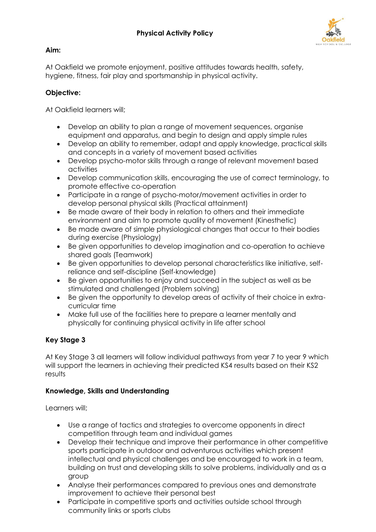

### **Aim:**

At Oakfield we promote enjoyment, positive attitudes towards health, safety, hygiene, fitness, fair play and sportsmanship in physical activity.

### **Objective:**

At Oakfield learners will;

- Develop an ability to plan a range of movement sequences, organise equipment and apparatus, and begin to design and apply simple rules
- Develop an ability to remember, adapt and apply knowledge, practical skills and concepts in a variety of movement based activities
- Develop psycho-motor skills through a range of relevant movement based activities
- Develop communication skills, encouraging the use of correct terminology, to promote effective co-operation
- Participate in a range of psycho-motor/movement activities in order to develop personal physical skills (Practical attainment)
- Be made aware of their body in relation to others and their immediate environment and aim to promote quality of movement (Kinesthetic)
- Be made aware of simple physiological changes that occur to their bodies during exercise (Physiology)
- Be given opportunities to develop imagination and co-operation to achieve shared goals (Teamwork)
- Be given opportunities to develop personal characteristics like initiative, selfreliance and self-discipline (Self-knowledge)
- Be given opportunities to enjoy and succeed in the subject as well as be stimulated and challenged (Problem solving)
- Be given the opportunity to develop areas of activity of their choice in extracurricular time
- Make full use of the facilities here to prepare a learner mentally and physically for continuing physical activity in life after school

# **Key Stage 3**

At Key Stage 3 all learners will follow individual pathways from year 7 to year 9 which will support the learners in achieving their predicted KS4 results based on their KS2 results

### **Knowledge, Skills and Understanding**

Learners will;

- Use a range of tactics and strategies to overcome opponents in direct competition through team and individual games
- Develop their technique and improve their performance in other competitive sports participate in outdoor and adventurous activities which present intellectual and physical challenges and be encouraged to work in a team, building on trust and developing skills to solve problems, individually and as a group
- Analyse their performances compared to previous ones and demonstrate improvement to achieve their personal best
- Participate in competitive sports and activities outside school through community links or sports clubs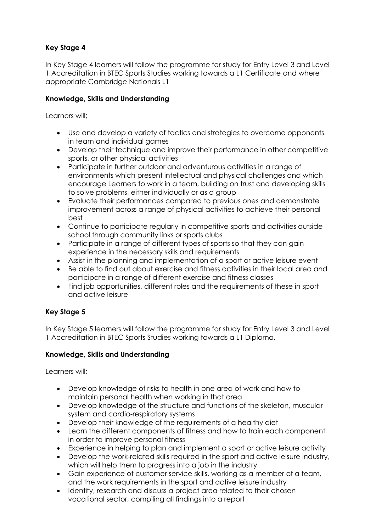## **Key Stage 4**

In Key Stage 4 learners will follow the programme for study for Entry Level 3 and Level 1 Accreditation in BTEC Sports Studies working towards a L1 Certificate and where appropriate Cambridge Nationals L1

### **Knowledge, Skills and Understanding**

Learners will;

- Use and develop a variety of tactics and strategies to overcome opponents in team and individual games
- Develop their technique and improve their performance in other competitive sports, or other physical activities
- Participate in further outdoor and adventurous activities in a range of environments which present intellectual and physical challenges and which encourage Learners to work in a team, building on trust and developing skills to solve problems, either individually or as a group
- Evaluate their performances compared to previous ones and demonstrate improvement across a range of physical activities to achieve their personal best
- Continue to participate regularly in competitive sports and activities outside school through community links or sports clubs
- Participate in a range of different types of sports so that they can gain experience in the necessary skills and requirements
- Assist in the planning and implementation of a sport or active leisure event
- Be able to find out about exercise and fitness activities in their local area and participate in a range of different exercise and fitness classes
- Find job opportunities, different roles and the requirements of these in sport and active leisure

### **Key Stage 5**

In Key Stage 5 learners will follow the programme for study for Entry Level 3 and Level 1 Accreditation in BTEC Sports Studies working towards a L1 Diploma.

### **Knowledge, Skills and Understanding**

Learners will;

- Develop knowledge of risks to health in one area of work and how to maintain personal health when working in that area
- Develop knowledge of the structure and functions of the skeleton, muscular system and cardio-respiratory systems
- Develop their knowledge of the requirements of a healthy diet
- Learn the different components of fitness and how to train each component in order to improve personal fitness
- Experience in helping to plan and implement a sport or active leisure activity
- Develop the work-related skills required in the sport and active leisure industry, which will help them to progress into a job in the industry
- Gain experience of customer service skills, working as a member of a team, and the work requirements in the sport and active leisure industry
- Identify, research and discuss a project area related to their chosen vocational sector, compiling all findings into a report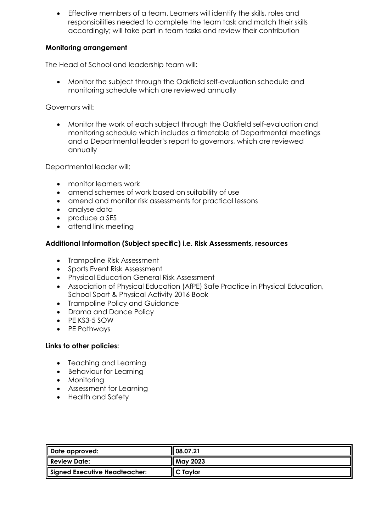• Effective members of a team. Learners will identify the skills, roles and responsibilities needed to complete the team task and match their skills accordingly; will take part in team tasks and review their contribution

### **Monitoring arrangement**

The Head of School and leadership team will:

• Monitor the subject through the Oakfield self-evaluation schedule and monitoring schedule which are reviewed annually

Governors will:

• Monitor the work of each subject through the Oakfield self-evaluation and monitoring schedule which includes a timetable of Departmental meetings and a Departmental leader's report to governors, which are reviewed annually

Departmental leader will:

- monitor learners work
- amend schemes of work based on suitability of use
- amend and monitor risk assessments for practical lessons
- analyse data
- produce a SES
- attend link meeting

#### **Additional Information (Subject specific) i.e. Risk Assessments, resources**

- Trampoline Risk Assessment
- Sports Event Risk Assessment
- Physical Education General Risk Assessment
- Association of Physical Education (AfPE) Safe Practice in Physical Education, School Sport & Physical Activity 2016 Book
- Trampoline Policy and Guidance
- Drama and Dance Policy
- PE KS3-5 SOW
- PE Pathways

#### **Links to other policies:**

- Teaching and Learning
- Behaviour for Learning
- Monitoring
- Assessment for Learning
- Health and Safety

| Date approved:                | <b>108.07.21</b>     |
|-------------------------------|----------------------|
| <b>Review Date:</b>           | May 2023             |
| Signed Executive Headteacher: | $\mathsf I$ C Taylor |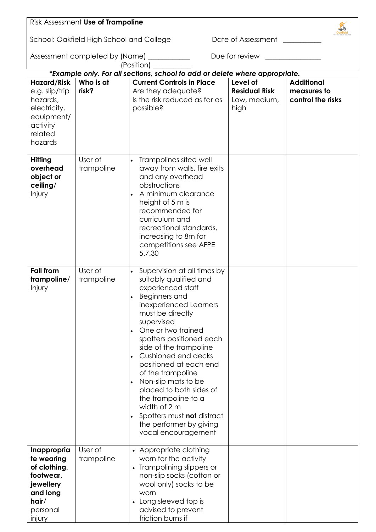|                                                                                                                  | Risk Assessment Use of Trampoline        |                                                                                                                                                                                                                                                                                                                                                                                                                                                                                                 |                                                          |                                                       |  |  |
|------------------------------------------------------------------------------------------------------------------|------------------------------------------|-------------------------------------------------------------------------------------------------------------------------------------------------------------------------------------------------------------------------------------------------------------------------------------------------------------------------------------------------------------------------------------------------------------------------------------------------------------------------------------------------|----------------------------------------------------------|-------------------------------------------------------|--|--|
|                                                                                                                  | School: Oakfield High School and College |                                                                                                                                                                                                                                                                                                                                                                                                                                                                                                 | Date of Assessment                                       |                                                       |  |  |
|                                                                                                                  | Assessment completed by (Name)           | (Position)                                                                                                                                                                                                                                                                                                                                                                                                                                                                                      | Due for review                                           |                                                       |  |  |
|                                                                                                                  |                                          | *Example only. For all sections, school to add or delete where appropriate.                                                                                                                                                                                                                                                                                                                                                                                                                     |                                                          |                                                       |  |  |
| <b>Hazard/Risk</b><br>e.g. slip/trip<br>hazards,<br>electricity,<br>equipment/<br>activity<br>related<br>hazards | Who is at<br>risk?                       | <b>Current Controls in Place</b><br>Are they adequate?<br>Is the risk reduced as far as<br>possible?                                                                                                                                                                                                                                                                                                                                                                                            | Level of<br><b>Residual Risk</b><br>Low, medium,<br>high | <b>Additional</b><br>measures to<br>control the risks |  |  |
| <b>Hitting</b><br>overhead<br>object or<br>ceiling/<br>Injury                                                    | User of<br>trampoline                    | Trampolines sited well<br>away from walls, fire exits<br>and any overhead<br>obstructions<br>A minimum clearance<br>height of 5 m is<br>recommended for<br>curriculum and<br>recreational standards,<br>increasing to 8m for<br>competitions see AFPE<br>5.7.30                                                                                                                                                                                                                                 |                                                          |                                                       |  |  |
| <b>Fall from</b><br>trampoline/<br>Injury                                                                        | User of<br>trampoline                    | Supervision at all times by<br>suitably qualified and<br>experienced staff<br>Beginners and<br>inexperienced Learners<br>must be directly<br>supervised<br>One or two trained<br>spotters positioned each<br>side of the trampoline<br>Cushioned end decks<br>positioned at each end<br>of the trampoline<br>Non-slip mats to be<br>$\bullet$<br>placed to both sides of<br>the trampoline to a<br>width of 2 m<br>Spotters must not distract<br>the performer by giving<br>vocal encouragement |                                                          |                                                       |  |  |
| Inappropria<br>te wearing<br>of clothing,<br>footwear,<br>jewellery<br>and long<br>hair/<br>personal<br>injury   | User of<br>trampoline                    | • Appropriate clothing<br>worn for the activity<br>• Trampolining slippers or<br>non-slip socks (cotton or<br>wool only) socks to be<br>worn<br>• Long sleeved top is<br>advised to prevent<br>friction burns if                                                                                                                                                                                                                                                                                |                                                          |                                                       |  |  |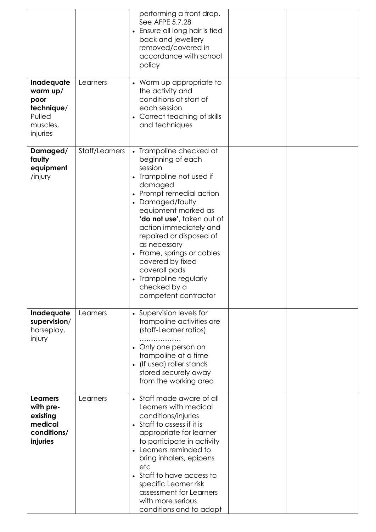|                                                                                |                | performing a front drop.<br>See AFPE 5.7.28<br>• Ensure all long hair is tied<br>back and jewellery<br>removed/covered in<br>accordance with school<br>policy                                                                                                                                                                                                                                               |  |
|--------------------------------------------------------------------------------|----------------|-------------------------------------------------------------------------------------------------------------------------------------------------------------------------------------------------------------------------------------------------------------------------------------------------------------------------------------------------------------------------------------------------------------|--|
| Inadequate<br>warm up/<br>poor<br>technique/<br>Pulled<br>muscles,<br>injuries | Learners       | • Warm up appropriate to<br>the activity and<br>conditions at start of<br>each session<br>• Correct teaching of skills<br>and techniques                                                                                                                                                                                                                                                                    |  |
| Damaged/<br>faulty<br>equipment<br>/injury                                     | Staff/Learners | • Trampoline checked at<br>beginning of each<br>session<br>• Trampoline not used if<br>damaged<br>• Prompt remedial action<br>• Damaged/faulty<br>equipment marked as<br>'do not use', taken out of<br>action immediately and<br>repaired or disposed of<br>as necessary<br>• Frame, springs or cables<br>covered by fixed<br>coverall pads<br>Trampoline regularly<br>checked by a<br>competent contractor |  |
| Inadequate<br>supervision/<br>horseplay,<br>injury                             | Learners       | • Supervision levels for<br>trampoline activities are<br>(staff-Learner ratios)<br>• Only one person on<br>trampoline at a time<br>• (If used) roller stands<br>stored securely away<br>from the working area                                                                                                                                                                                               |  |
| <b>Learners</b><br>with pre-<br>existing<br>medical<br>conditions/<br>injuries | Learners       | • Staff made aware of all<br>Learners with medical<br>conditions/injuries<br>• Staff to assess if it is<br>appropriate for learner<br>to participate in activity<br>• Learners reminded to<br>bring inhalers, epipens<br>etc<br>• Staff to have access to<br>specific Learner risk<br>assessment for Learners<br>with more serious<br>conditions and to adapt                                               |  |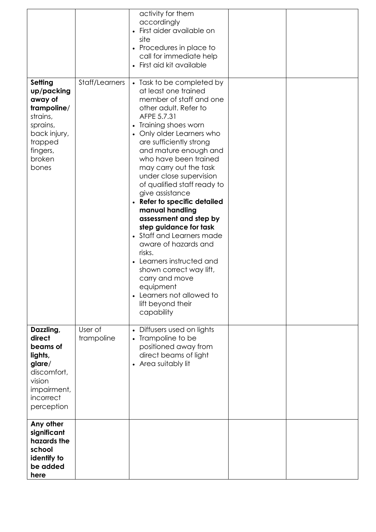|                                                                                                                                   |                       | activity for them<br>accordingly<br>First aider available on<br>site<br>• Procedures in place to<br>call for immediate help<br>• First aid kit available                                                                                                                                                                                                                                                                                                                                                                                                                                                                                                                                  |  |
|-----------------------------------------------------------------------------------------------------------------------------------|-----------------------|-------------------------------------------------------------------------------------------------------------------------------------------------------------------------------------------------------------------------------------------------------------------------------------------------------------------------------------------------------------------------------------------------------------------------------------------------------------------------------------------------------------------------------------------------------------------------------------------------------------------------------------------------------------------------------------------|--|
| Setting<br>up/packing<br>away of<br>trampoline/<br>strains,<br>sprains,<br>back injury,<br>trapped<br>fingers,<br>broken<br>bones | Staff/Learners        | • Task to be completed by<br>at least one trained<br>member of staff and one<br>other adult. Refer to<br>AFPE 5.7.31<br>• Training shoes worn<br>• Only older Learners who<br>are sufficiently strong<br>and mature enough and<br>who have been trained<br>may carry out the task<br>under close supervision<br>of qualified staff ready to<br>give assistance<br>• Refer to specific detailed<br>manual handling<br>assessment and step by<br>step guidance for task<br>• Staff and Learners made<br>aware of hazards and<br>risks.<br>• Learners instructed and<br>shown correct way lift,<br>carry and move<br>equipment<br>Learners not allowed to<br>lift beyond their<br>capability |  |
| Dazzling,<br>direct<br>beams of<br>lights,<br>glare/<br>discomfort,<br>vision<br>impairment,<br>incorrect<br>perception           | User of<br>trampoline | Diffusers used on lights<br>$\bullet$<br>• Trampoline to be<br>positioned away from<br>direct beams of light<br>• Area suitably lit                                                                                                                                                                                                                                                                                                                                                                                                                                                                                                                                                       |  |
| Any other<br>significant<br>hazards the<br>school<br>identify to<br>be added<br>here                                              |                       |                                                                                                                                                                                                                                                                                                                                                                                                                                                                                                                                                                                                                                                                                           |  |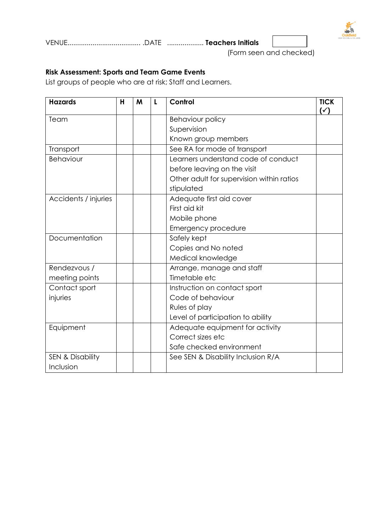

VENUE...................................... .DATE ................... **Teachers Initials**

(Form seen and checked)

### **Risk Assessment: Sports and Team Game Events**

List groups of people who are at risk; Staff and Learners.

| <b>Hazards</b>              | H | M | $\mathbf{L}$ | Control                                   | <b>TICK</b><br>$(\check{ }')$ |
|-----------------------------|---|---|--------------|-------------------------------------------|-------------------------------|
| Team                        |   |   |              | Behaviour policy                          |                               |
|                             |   |   |              | Supervision                               |                               |
|                             |   |   |              | Known group members                       |                               |
| Transport                   |   |   |              | See RA for mode of transport              |                               |
| Behaviour                   |   |   |              | Learners understand code of conduct       |                               |
|                             |   |   |              | before leaving on the visit               |                               |
|                             |   |   |              | Other adult for supervision within ratios |                               |
|                             |   |   |              | stipulated                                |                               |
| Accidents / injuries        |   |   |              | Adequate first aid cover                  |                               |
|                             |   |   |              | First aid kit                             |                               |
|                             |   |   |              | Mobile phone                              |                               |
|                             |   |   |              | Emergency procedure                       |                               |
| Documentation               |   |   |              | Safely kept                               |                               |
|                             |   |   |              | Copies and No noted                       |                               |
|                             |   |   |              | Medical knowledge                         |                               |
| Rendezvous /                |   |   |              | Arrange, manage and staff                 |                               |
| meeting points              |   |   |              | Timetable etc                             |                               |
| Contact sport               |   |   |              | Instruction on contact sport              |                               |
| injuries                    |   |   |              | Code of behaviour                         |                               |
|                             |   |   |              | Rules of play                             |                               |
|                             |   |   |              | Level of participation to ability         |                               |
| Equipment                   |   |   |              | Adequate equipment for activity           |                               |
|                             |   |   |              | Correct sizes etc                         |                               |
|                             |   |   |              | Safe checked environment                  |                               |
| <b>SEN &amp; Disability</b> |   |   |              | See SEN & Disability Inclusion R/A        |                               |
| Inclusion                   |   |   |              |                                           |                               |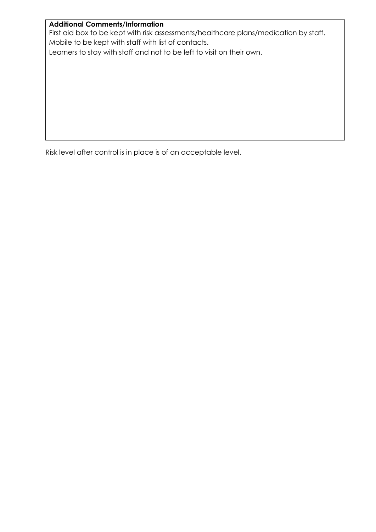#### **Additional Comments/Information**

First aid box to be kept with risk assessments/healthcare plans/medication by staff. Mobile to be kept with staff with list of contacts.

Learners to stay with staff and not to be left to visit on their own.

Risk level after control is in place is of an acceptable level.